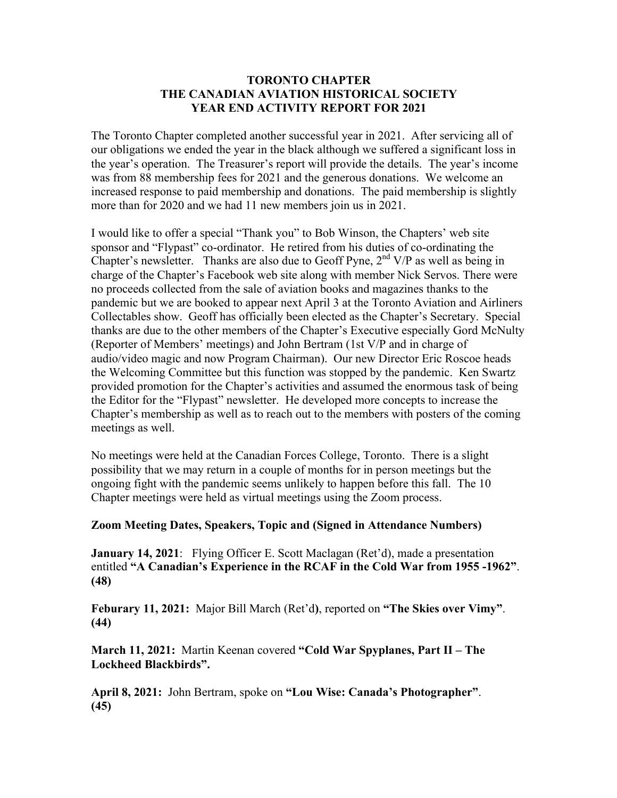## **TORONTO CHAPTER THE CANADIAN AVIATION HISTORICAL SOCIETY YEAR END ACTIVITY REPORT FOR 2021**

The Toronto Chapter completed another successful year in 2021. After servicing all of our obligations we ended the year in the black although we suffered a significant loss in the year's operation. The Treasurer's report will provide the details. The year's income was from 88 membership fees for 2021 and the generous donations. We welcome an increased response to paid membership and donations. The paid membership is slightly more than for 2020 and we had 11 new members join us in 2021.

I would like to offer a special "Thank you" to Bob Winson, the Chapters' web site sponsor and "Flypast" co-ordinator. He retired from his duties of co-ordinating the Chapter's newsletter. Thanks are also due to Geoff Pyne,  $2<sup>nd</sup> V/P$  as well as being in charge of the Chapter's Facebook web site along with member Nick Servos. There were no proceeds collected from the sale of aviation books and magazines thanks to the pandemic but we are booked to appear next April 3 at the Toronto Aviation and Airliners Collectables show. Geoff has officially been elected as the Chapter's Secretary. Special thanks are due to the other members of the Chapter's Executive especially Gord McNulty (Reporter of Members' meetings) and John Bertram (1st V/P and in charge of audio/video magic and now Program Chairman). Our new Director Eric Roscoe heads the Welcoming Committee but this function was stopped by the pandemic. Ken Swartz provided promotion for the Chapter's activities and assumed the enormous task of being the Editor for the "Flypast" newsletter. He developed more concepts to increase the Chapter's membership as well as to reach out to the members with posters of the coming meetings as well.

No meetings were held at the Canadian Forces College, Toronto. There is a slight possibility that we may return in a couple of months for in person meetings but the ongoing fight with the pandemic seems unlikely to happen before this fall. The 10 Chapter meetings were held as virtual meetings using the Zoom process.

## **Zoom Meeting Dates, Speakers, Topic and (Signed in Attendance Numbers)**

**January 14, 2021:** Flying Officer E. Scott Maclagan (Ret'd), made a presentation entitled **"A Canadian's Experience in the RCAF in the Cold War from 1955 -1962"**. **(48)**

**Feburary 11, 2021:** Major Bill March (Ret'd**)**, reported on **"The Skies over Vimy"**. **(44)**

**March 11, 2021:** Martin Keenan covered **"Cold War Spyplanes, Part II – The Lockheed Blackbirds".**

**April 8, 2021:** John Bertram, spoke on **"Lou Wise: Canada's Photographer"**. **(45)**